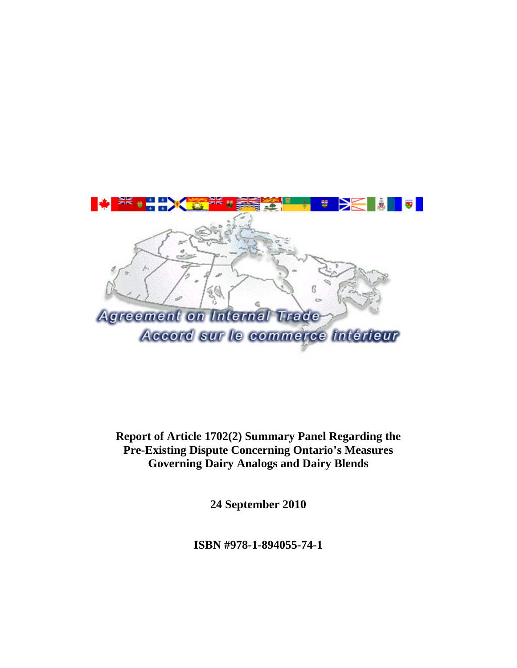

**Report of Article 1702(2) Summary Panel Regarding the Pre-Existing Dispute Concerning Ontario's Measures Governing Dairy Analogs and Dairy Blends** 

**24 September 2010** 

**ISBN #978-1-894055-74-1**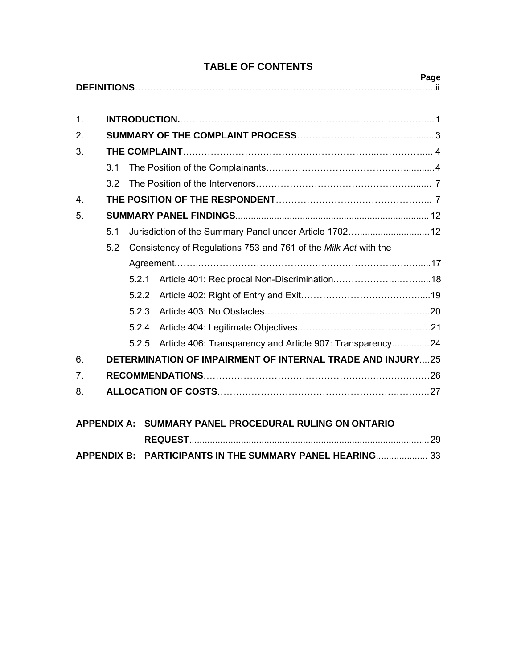| Page                                                   |                                                                        |                                                                   |                                                           |  |  |
|--------------------------------------------------------|------------------------------------------------------------------------|-------------------------------------------------------------------|-----------------------------------------------------------|--|--|
|                                                        |                                                                        |                                                                   |                                                           |  |  |
| 1 <sub>1</sub>                                         |                                                                        |                                                                   |                                                           |  |  |
| 2.                                                     |                                                                        |                                                                   |                                                           |  |  |
| 3.                                                     |                                                                        |                                                                   |                                                           |  |  |
|                                                        | 3.1                                                                    |                                                                   |                                                           |  |  |
|                                                        | 3.2                                                                    |                                                                   |                                                           |  |  |
| 4.                                                     |                                                                        |                                                                   |                                                           |  |  |
| 5.                                                     |                                                                        |                                                                   |                                                           |  |  |
|                                                        | 5.1                                                                    |                                                                   | Jurisdiction of the Summary Panel under Article 1702 12   |  |  |
|                                                        | Consistency of Regulations 753 and 761 of the Milk Act with the<br>5.2 |                                                                   |                                                           |  |  |
|                                                        |                                                                        |                                                                   |                                                           |  |  |
|                                                        |                                                                        | 5.2.1                                                             |                                                           |  |  |
|                                                        |                                                                        | 5.2.2                                                             |                                                           |  |  |
|                                                        |                                                                        | 5.2.3                                                             |                                                           |  |  |
|                                                        |                                                                        | 5.2.4                                                             |                                                           |  |  |
|                                                        |                                                                        | 5.2.5                                                             | Article 406: Transparency and Article 907: Transparency24 |  |  |
| 6.                                                     |                                                                        | <b>DETERMINATION OF IMPAIRMENT OF INTERNAL TRADE AND INJURY25</b> |                                                           |  |  |
| 7.                                                     |                                                                        |                                                                   |                                                           |  |  |
| 8.                                                     |                                                                        |                                                                   |                                                           |  |  |
|                                                        |                                                                        |                                                                   |                                                           |  |  |
| APPENDIX A: SUMMARY PANEL PROCEDURAL RULING ON ONTARIO |                                                                        |                                                                   |                                                           |  |  |
|                                                        |                                                                        |                                                                   |                                                           |  |  |
| <b>APPENDIX B:</b>                                     |                                                                        |                                                                   | <b>PARTICIPANTS IN THE SUMMARY PANEL HEARING 33</b>       |  |  |

# **TABLE OF CONTENTS**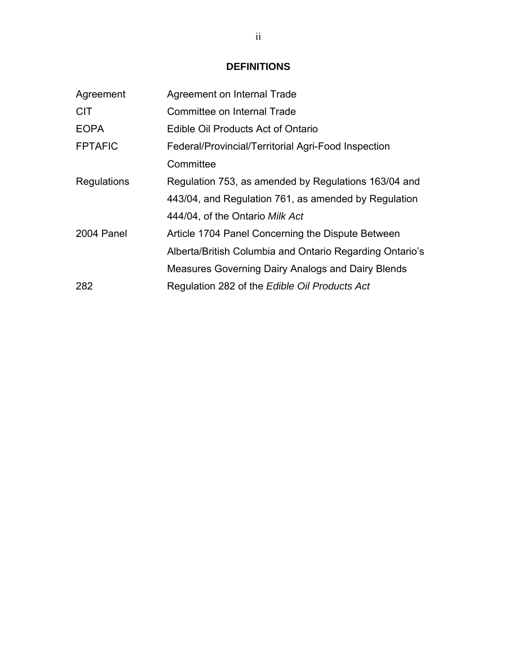# **DEFINITIONS**

| Agreement      | Agreement on Internal Trade                              |
|----------------|----------------------------------------------------------|
| <b>CIT</b>     | Committee on Internal Trade                              |
| <b>EOPA</b>    | Edible Oil Products Act of Ontario                       |
| <b>FPTAFIC</b> | Federal/Provincial/Territorial Agri-Food Inspection      |
|                | Committee                                                |
| Regulations    | Regulation 753, as amended by Regulations 163/04 and     |
|                | 443/04, and Regulation 761, as amended by Regulation     |
|                | 444/04, of the Ontario Milk Act                          |
| 2004 Panel     | Article 1704 Panel Concerning the Dispute Between        |
|                | Alberta/British Columbia and Ontario Regarding Ontario's |
|                | Measures Governing Dairy Analogs and Dairy Blends        |
| 282            | Regulation 282 of the Edible Oil Products Act            |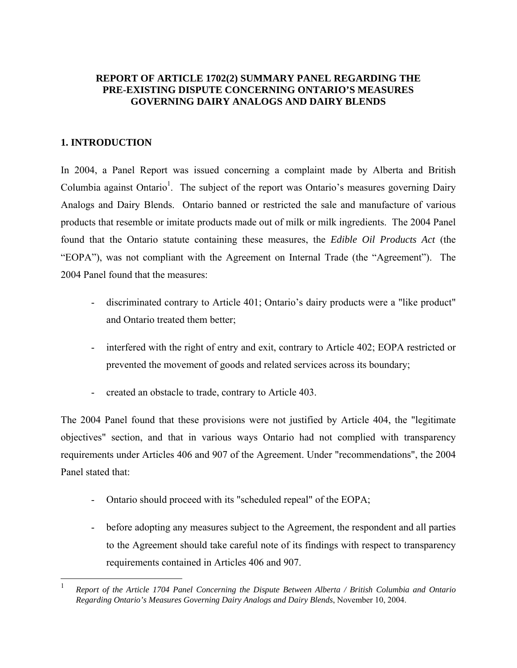# **REPORT OF ARTICLE 1702(2) SUMMARY PANEL REGARDING THE PRE-EXISTING DISPUTE CONCERNING ONTARIO'S MEASURES GOVERNING DAIRY ANALOGS AND DAIRY BLENDS**

# **1. INTRODUCTION**

 $\overline{a}$ 

In 2004, a Panel Report was issued concerning a complaint made by Alberta and British Columbia against Ontario<sup>1</sup>. The subject of the report was Ontario's measures governing Dairy Analogs and Dairy Blends. Ontario banned or restricted the sale and manufacture of various products that resemble or imitate products made out of milk or milk ingredients. The 2004 Panel found that the Ontario statute containing these measures, the *Edible Oil Products Act* (the "EOPA"), was not compliant with the Agreement on Internal Trade (the "Agreement"). The 2004 Panel found that the measures:

- discriminated contrary to Article 401; Ontario's dairy products were a "like product" and Ontario treated them better;
- interfered with the right of entry and exit, contrary to Article 402; EOPA restricted or prevented the movement of goods and related services across its boundary;
- created an obstacle to trade, contrary to Article 403.

The 2004 Panel found that these provisions were not justified by Article 404, the "legitimate objectives" section, and that in various ways Ontario had not complied with transparency requirements under Articles 406 and 907 of the Agreement. Under "recommendations", the 2004 Panel stated that:

- Ontario should proceed with its "scheduled repeal" of the EOPA;
- before adopting any measures subject to the Agreement, the respondent and all parties to the Agreement should take careful note of its findings with respect to transparency requirements contained in Articles 406 and 907.

<sup>1</sup> *Report of the Article 1704 Panel Concerning the Dispute Between Alberta / British Columbia and Ontario Regarding Ontario's Measures Governing Dairy Analogs and Dairy Blends*, November 10, 2004.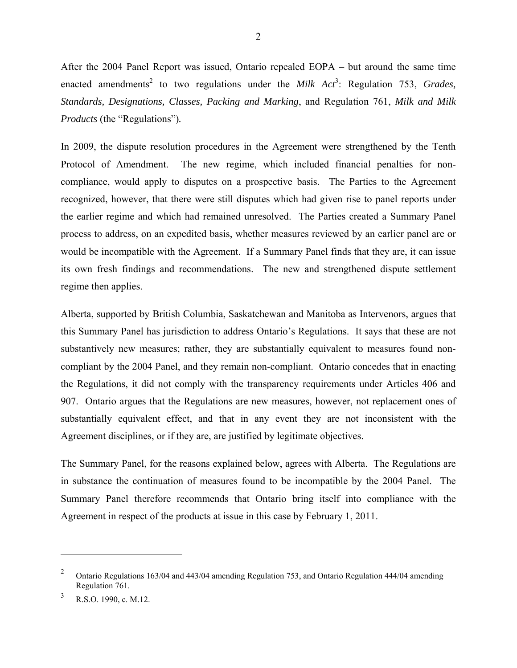After the 2004 Panel Report was issued, Ontario repealed EOPA – but around the same time enacted amendments<sup>2</sup> to two regulations under the *Milk Act*<sup>3</sup>: Regulation 753, *Grades*, *Standards, Designations, Classes, Packing and Marking*, and Regulation 761, *Milk and Milk Products* (the "Regulations")*.*

In 2009, the dispute resolution procedures in the Agreement were strengthened by the Tenth Protocol of Amendment. The new regime, which included financial penalties for noncompliance, would apply to disputes on a prospective basis. The Parties to the Agreement recognized, however, that there were still disputes which had given rise to panel reports under the earlier regime and which had remained unresolved. The Parties created a Summary Panel process to address, on an expedited basis, whether measures reviewed by an earlier panel are or would be incompatible with the Agreement. If a Summary Panel finds that they are, it can issue its own fresh findings and recommendations. The new and strengthened dispute settlement regime then applies.

Alberta, supported by British Columbia, Saskatchewan and Manitoba as Intervenors, argues that this Summary Panel has jurisdiction to address Ontario's Regulations. It says that these are not substantively new measures; rather, they are substantially equivalent to measures found noncompliant by the 2004 Panel, and they remain non-compliant. Ontario concedes that in enacting the Regulations, it did not comply with the transparency requirements under Articles 406 and 907. Ontario argues that the Regulations are new measures, however, not replacement ones of substantially equivalent effect, and that in any event they are not inconsistent with the Agreement disciplines, or if they are, are justified by legitimate objectives.

The Summary Panel, for the reasons explained below, agrees with Alberta. The Regulations are in substance the continuation of measures found to be incompatible by the 2004 Panel. The Summary Panel therefore recommends that Ontario bring itself into compliance with the Agreement in respect of the products at issue in this case by February 1, 2011.

 $\overline{a}$ 

<sup>&</sup>lt;sup>2</sup> Ontario Regulations 163/04 and 443/04 amending Regulation 753, and Ontario Regulation 444/04 amending Regulation 761.

<sup>3</sup> R.S.O. 1990, c. M.12.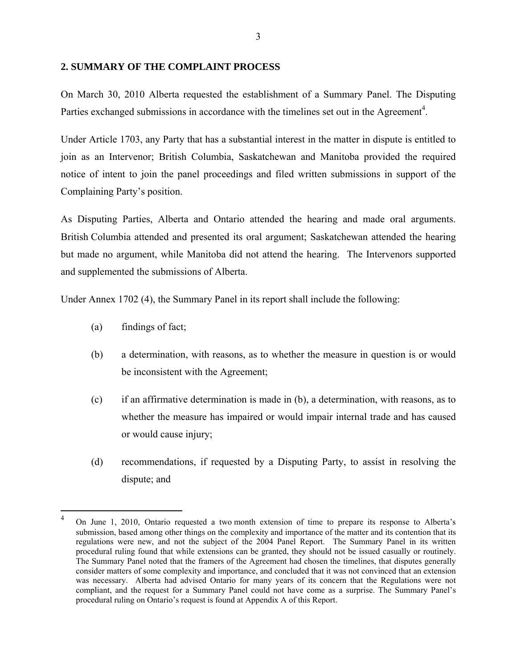#### **2. SUMMARY OF THE COMPLAINT PROCESS**

On March 30, 2010 Alberta requested the establishment of a Summary Panel. The Disputing Parties exchanged submissions in accordance with the timelines set out in the Agreement<sup>4</sup>.

Under Article 1703, any Party that has a substantial interest in the matter in dispute is entitled to join as an Intervenor; British Columbia, Saskatchewan and Manitoba provided the required notice of intent to join the panel proceedings and filed written submissions in support of the Complaining Party's position.

As Disputing Parties, Alberta and Ontario attended the hearing and made oral arguments. British Columbia attended and presented its oral argument; Saskatchewan attended the hearing but made no argument, while Manitoba did not attend the hearing. The Intervenors supported and supplemented the submissions of Alberta.

Under Annex 1702 (4), the Summary Panel in its report shall include the following:

(a) findings of fact;

1

- (b) a determination, with reasons, as to whether the measure in question is or would be inconsistent with the Agreement;
- (c) if an affirmative determination is made in (b), a determination, with reasons, as to whether the measure has impaired or would impair internal trade and has caused or would cause injury;
- (d) recommendations, if requested by a Disputing Party, to assist in resolving the dispute; and

<sup>4</sup> On June 1, 2010, Ontario requested a two month extension of time to prepare its response to Alberta's submission, based among other things on the complexity and importance of the matter and its contention that its regulations were new, and not the subject of the 2004 Panel Report. The Summary Panel in its written procedural ruling found that while extensions can be granted, they should not be issued casually or routinely. The Summary Panel noted that the framers of the Agreement had chosen the timelines, that disputes generally consider matters of some complexity and importance, and concluded that it was not convinced that an extension was necessary. Alberta had advised Ontario for many years of its concern that the Regulations were not compliant, and the request for a Summary Panel could not have come as a surprise. The Summary Panel's procedural ruling on Ontario's request is found at Appendix A of this Report.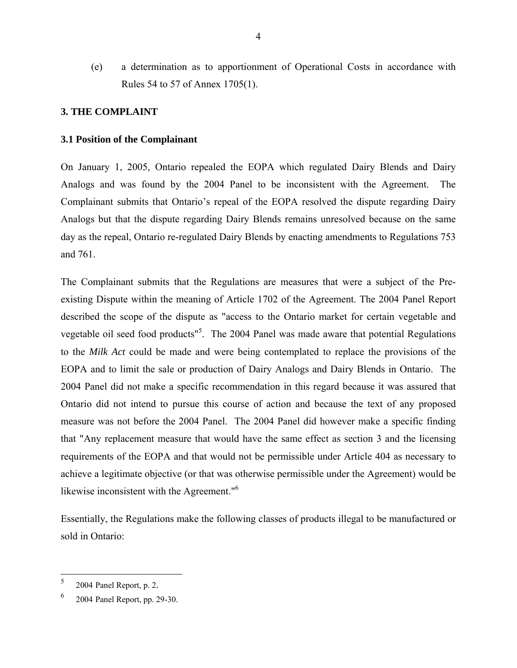(e) a determination as to apportionment of Operational Costs in accordance with Rules 54 to 57 of Annex 1705(1).

# **3. THE COMPLAINT**

### **3.1 Position of the Complainant**

On January 1, 2005, Ontario repealed the EOPA which regulated Dairy Blends and Dairy Analogs and was found by the 2004 Panel to be inconsistent with the Agreement. The Complainant submits that Ontario's repeal of the EOPA resolved the dispute regarding Dairy Analogs but that the dispute regarding Dairy Blends remains unresolved because on the same day as the repeal, Ontario re-regulated Dairy Blends by enacting amendments to Regulations 753 and 761.

The Complainant submits that the Regulations are measures that were a subject of the Preexisting Dispute within the meaning of Article 1702 of the Agreement. The 2004 Panel Report described the scope of the dispute as "access to the Ontario market for certain vegetable and vegetable oil seed food products<sup>15</sup>. The 2004 Panel was made aware that potential Regulations to the *Milk Act* could be made and were being contemplated to replace the provisions of the EOPA and to limit the sale or production of Dairy Analogs and Dairy Blends in Ontario. The 2004 Panel did not make a specific recommendation in this regard because it was assured that Ontario did not intend to pursue this course of action and because the text of any proposed measure was not before the 2004 Panel. The 2004 Panel did however make a specific finding that "Any replacement measure that would have the same effect as section 3 and the licensing requirements of the EOPA and that would not be permissible under Article 404 as necessary to achieve a legitimate objective (or that was otherwise permissible under the Agreement) would be likewise inconsistent with the Agreement."<sup>6</sup>

Essentially, the Regulations make the following classes of products illegal to be manufactured or sold in Ontario:

 $\frac{1}{5}$  $^{2}$  2004 Panel Report, p. 2.

 <sup>2004</sup> Panel Report, pp. 29-30.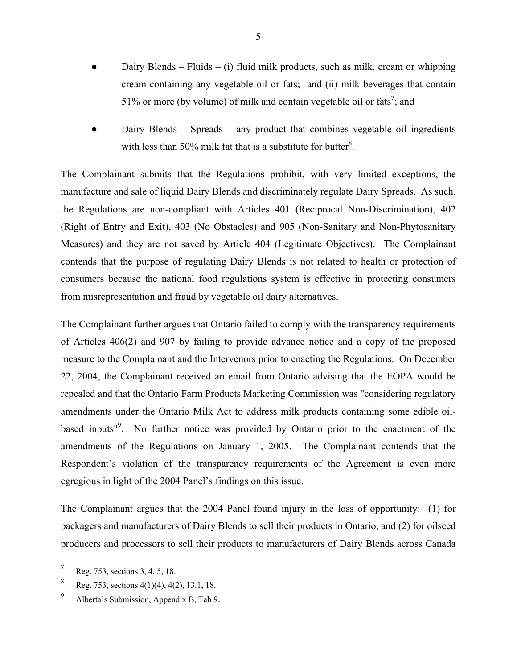- Dairy Blends Fluids (i) fluid milk products, such as milk, cream or whipping cream containing any vegetable oil or fats; and (ii) milk beverages that contain 51% or more (by volume) of milk and contain vegetable oil or fats<sup>7</sup>; and
- Dairy Blends Spreads any product that combines vegetable oil ingredients with less than 50% milk fat that is a substitute for butter<sup>8</sup>.

The Complainant submits that the Regulations prohibit, with very limited exceptions, the manufacture and sale of liquid Dairy Blends and discriminately regulate Dairy Spreads. As such, the Regulations are non-compliant with Articles 401 (Reciprocal Non-Discrimination), 402 (Right of Entry and Exit), 403 (No Obstacles) and 905 (Non-Sanitary and Non-Phytosanitary Measures) and they are not saved by Article 404 (Legitimate Objectives). The Complainant contends that the purpose of regulating Dairy Blends is not related to health or protection of consumers because the national food regulations system is effective in protecting consumers from misrepresentation and fraud by vegetable oil dairy alternatives.

The Complainant further argues that Ontario failed to comply with the transparency requirements of Articles 406(2) and 907 by failing to provide advance notice and a copy of the proposed measure to the Complainant and the Intervenors prior to enacting the Regulations. On December 22, 2004, the Complainant received an email from Ontario advising that the EOPA would be repealed and that the Ontario Farm Products Marketing Commission was "considering regulatory amendments under the Ontario Milk Act to address milk products containing some edible oilbased inputs<sup>"9</sup>. No further notice was provided by Ontario prior to the enactment of the amendments of the Regulations on January 1, 2005. The Complainant contends that the Respondent's violation of the transparency requirements of the Agreement is even more egregious in light of the 2004 Panel's findings on this issue.

The Complainant argues that the 2004 Panel found injury in the loss of opportunity: (1) for packagers and manufacturers of Dairy Blends to sell their products in Ontario, and (2) for oilseed producers and processors to sell their products to manufacturers of Dairy Blends across Canada

 $\overline{a}$ 

<sup>7</sup> Reg. 753, sections 3, 4, 5, 18.

<sup>8</sup> Reg. 753, sections 4(1)(4), 4(2), 13.1, 18.

<sup>9</sup> Alberta's Submission, Appendix B, Tab 9.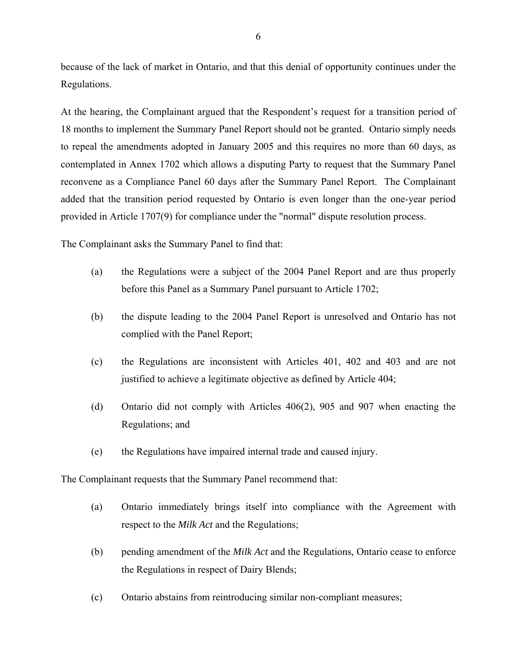because of the lack of market in Ontario, and that this denial of opportunity continues under the Regulations.

At the hearing, the Complainant argued that the Respondent's request for a transition period of 18 months to implement the Summary Panel Report should not be granted. Ontario simply needs to repeal the amendments adopted in January 2005 and this requires no more than 60 days, as contemplated in Annex 1702 which allows a disputing Party to request that the Summary Panel reconvene as a Compliance Panel 60 days after the Summary Panel Report. The Complainant added that the transition period requested by Ontario is even longer than the one-year period provided in Article 1707(9) for compliance under the "normal" dispute resolution process.

The Complainant asks the Summary Panel to find that:

- (a) the Regulations were a subject of the 2004 Panel Report and are thus properly before this Panel as a Summary Panel pursuant to Article 1702;
- (b) the dispute leading to the 2004 Panel Report is unresolved and Ontario has not complied with the Panel Report;
- (c) the Regulations are inconsistent with Articles 401, 402 and 403 and are not justified to achieve a legitimate objective as defined by Article 404;
- (d) Ontario did not comply with Articles 406(2), 905 and 907 when enacting the Regulations; and
- (e) the Regulations have impaired internal trade and caused injury.

The Complainant requests that the Summary Panel recommend that:

- (a) Ontario immediately brings itself into compliance with the Agreement with respect to the *Milk Act* and the Regulations;
- (b) pending amendment of the *Milk Act* and the Regulations, Ontario cease to enforce the Regulations in respect of Dairy Blends;
- (c) Ontario abstains from reintroducing similar non-compliant measures;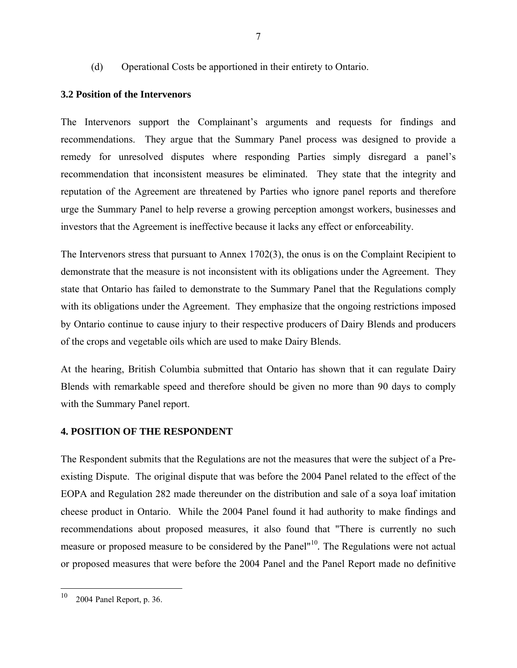(d) Operational Costs be apportioned in their entirety to Ontario.

# **3.2 Position of the Intervenors**

The Intervenors support the Complainant's arguments and requests for findings and recommendations. They argue that the Summary Panel process was designed to provide a remedy for unresolved disputes where responding Parties simply disregard a panel's recommendation that inconsistent measures be eliminated. They state that the integrity and reputation of the Agreement are threatened by Parties who ignore panel reports and therefore urge the Summary Panel to help reverse a growing perception amongst workers, businesses and investors that the Agreement is ineffective because it lacks any effect or enforceability.

The Intervenors stress that pursuant to Annex 1702(3), the onus is on the Complaint Recipient to demonstrate that the measure is not inconsistent with its obligations under the Agreement. They state that Ontario has failed to demonstrate to the Summary Panel that the Regulations comply with its obligations under the Agreement. They emphasize that the ongoing restrictions imposed by Ontario continue to cause injury to their respective producers of Dairy Blends and producers of the crops and vegetable oils which are used to make Dairy Blends.

At the hearing, British Columbia submitted that Ontario has shown that it can regulate Dairy Blends with remarkable speed and therefore should be given no more than 90 days to comply with the Summary Panel report.

# **4. POSITION OF THE RESPONDENT**

The Respondent submits that the Regulations are not the measures that were the subject of a Preexisting Dispute. The original dispute that was before the 2004 Panel related to the effect of the EOPA and Regulation 282 made thereunder on the distribution and sale of a soya loaf imitation cheese product in Ontario. While the 2004 Panel found it had authority to make findings and recommendations about proposed measures, it also found that "There is currently no such measure or proposed measure to be considered by the Panel"<sup>10</sup>*.* The Regulations were not actual or proposed measures that were before the 2004 Panel and the Panel Report made no definitive

<sup>10</sup> 2004 Panel Report, p. 36.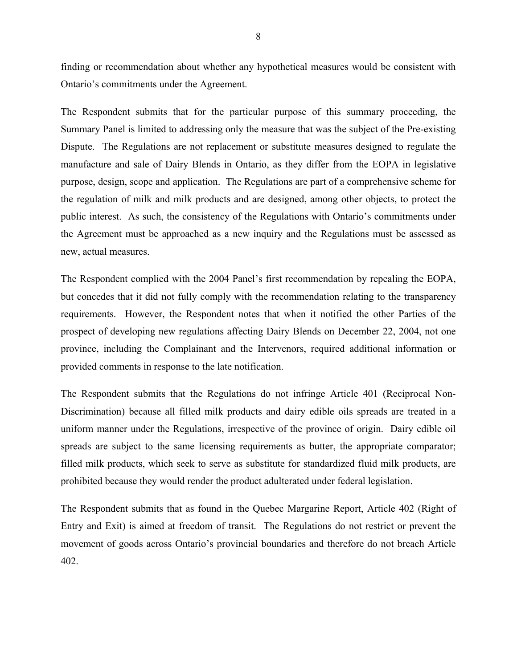finding or recommendation about whether any hypothetical measures would be consistent with Ontario's commitments under the Agreement.

The Respondent submits that for the particular purpose of this summary proceeding, the Summary Panel is limited to addressing only the measure that was the subject of the Pre-existing Dispute. The Regulations are not replacement or substitute measures designed to regulate the manufacture and sale of Dairy Blends in Ontario, as they differ from the EOPA in legislative purpose, design, scope and application. The Regulations are part of a comprehensive scheme for the regulation of milk and milk products and are designed, among other objects, to protect the public interest. As such, the consistency of the Regulations with Ontario's commitments under the Agreement must be approached as a new inquiry and the Regulations must be assessed as new, actual measures.

The Respondent complied with the 2004 Panel's first recommendation by repealing the EOPA, but concedes that it did not fully comply with the recommendation relating to the transparency requirements. However, the Respondent notes that when it notified the other Parties of the prospect of developing new regulations affecting Dairy Blends on December 22, 2004, not one province, including the Complainant and the Intervenors, required additional information or provided comments in response to the late notification.

The Respondent submits that the Regulations do not infringe Article 401 (Reciprocal Non-Discrimination) because all filled milk products and dairy edible oils spreads are treated in a uniform manner under the Regulations, irrespective of the province of origin. Dairy edible oil spreads are subject to the same licensing requirements as butter, the appropriate comparator; filled milk products, which seek to serve as substitute for standardized fluid milk products, are prohibited because they would render the product adulterated under federal legislation.

The Respondent submits that as found in the Quebec Margarine Report, Article 402 (Right of Entry and Exit) is aimed at freedom of transit. The Regulations do not restrict or prevent the movement of goods across Ontario's provincial boundaries and therefore do not breach Article 402.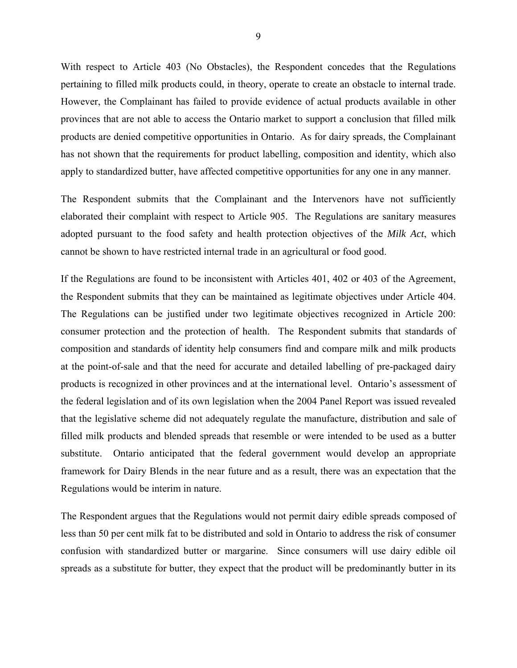With respect to Article 403 (No Obstacles), the Respondent concedes that the Regulations pertaining to filled milk products could, in theory, operate to create an obstacle to internal trade. However, the Complainant has failed to provide evidence of actual products available in other provinces that are not able to access the Ontario market to support a conclusion that filled milk products are denied competitive opportunities in Ontario. As for dairy spreads, the Complainant has not shown that the requirements for product labelling, composition and identity, which also apply to standardized butter, have affected competitive opportunities for any one in any manner.

The Respondent submits that the Complainant and the Intervenors have not sufficiently elaborated their complaint with respect to Article 905. The Regulations are sanitary measures adopted pursuant to the food safety and health protection objectives of the *Milk Act*, which cannot be shown to have restricted internal trade in an agricultural or food good.

If the Regulations are found to be inconsistent with Articles 401, 402 or 403 of the Agreement, the Respondent submits that they can be maintained as legitimate objectives under Article 404. The Regulations can be justified under two legitimate objectives recognized in Article 200: consumer protection and the protection of health. The Respondent submits that standards of composition and standards of identity help consumers find and compare milk and milk products at the point-of-sale and that the need for accurate and detailed labelling of pre-packaged dairy products is recognized in other provinces and at the international level. Ontario's assessment of the federal legislation and of its own legislation when the 2004 Panel Report was issued revealed that the legislative scheme did not adequately regulate the manufacture, distribution and sale of filled milk products and blended spreads that resemble or were intended to be used as a butter substitute. Ontario anticipated that the federal government would develop an appropriate framework for Dairy Blends in the near future and as a result, there was an expectation that the Regulations would be interim in nature.

The Respondent argues that the Regulations would not permit dairy edible spreads composed of less than 50 per cent milk fat to be distributed and sold in Ontario to address the risk of consumer confusion with standardized butter or margarine. Since consumers will use dairy edible oil spreads as a substitute for butter, they expect that the product will be predominantly butter in its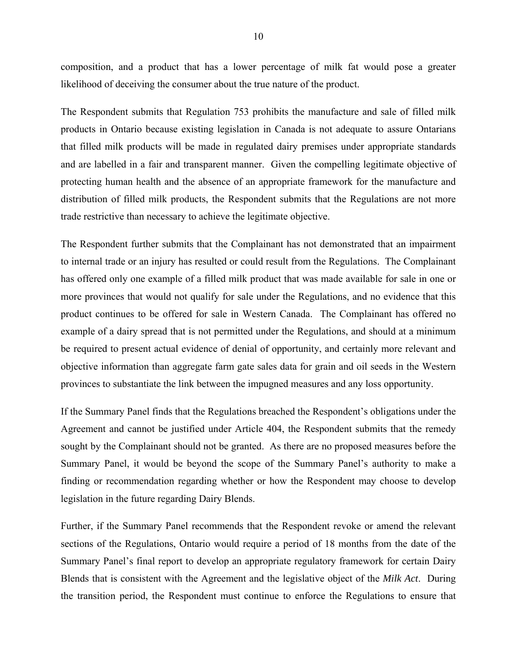composition, and a product that has a lower percentage of milk fat would pose a greater likelihood of deceiving the consumer about the true nature of the product.

The Respondent submits that Regulation 753 prohibits the manufacture and sale of filled milk products in Ontario because existing legislation in Canada is not adequate to assure Ontarians that filled milk products will be made in regulated dairy premises under appropriate standards and are labelled in a fair and transparent manner. Given the compelling legitimate objective of protecting human health and the absence of an appropriate framework for the manufacture and distribution of filled milk products, the Respondent submits that the Regulations are not more trade restrictive than necessary to achieve the legitimate objective.

The Respondent further submits that the Complainant has not demonstrated that an impairment to internal trade or an injury has resulted or could result from the Regulations. The Complainant has offered only one example of a filled milk product that was made available for sale in one or more provinces that would not qualify for sale under the Regulations, and no evidence that this product continues to be offered for sale in Western Canada. The Complainant has offered no example of a dairy spread that is not permitted under the Regulations, and should at a minimum be required to present actual evidence of denial of opportunity, and certainly more relevant and objective information than aggregate farm gate sales data for grain and oil seeds in the Western provinces to substantiate the link between the impugned measures and any loss opportunity.

If the Summary Panel finds that the Regulations breached the Respondent's obligations under the Agreement and cannot be justified under Article 404, the Respondent submits that the remedy sought by the Complainant should not be granted. As there are no proposed measures before the Summary Panel, it would be beyond the scope of the Summary Panel's authority to make a finding or recommendation regarding whether or how the Respondent may choose to develop legislation in the future regarding Dairy Blends.

Further, if the Summary Panel recommends that the Respondent revoke or amend the relevant sections of the Regulations, Ontario would require a period of 18 months from the date of the Summary Panel's final report to develop an appropriate regulatory framework for certain Dairy Blends that is consistent with the Agreement and the legislative object of the *Milk Act*. During the transition period, the Respondent must continue to enforce the Regulations to ensure that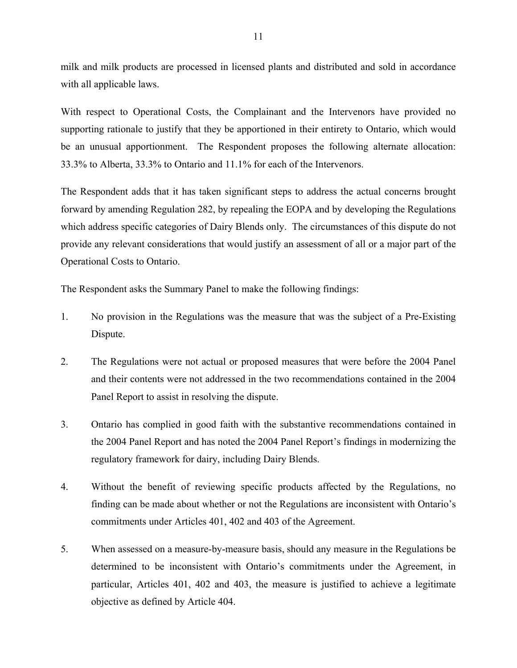milk and milk products are processed in licensed plants and distributed and sold in accordance with all applicable laws.

With respect to Operational Costs, the Complainant and the Intervenors have provided no supporting rationale to justify that they be apportioned in their entirety to Ontario, which would be an unusual apportionment. The Respondent proposes the following alternate allocation: 33.3% to Alberta, 33.3% to Ontario and 11.1% for each of the Intervenors.

The Respondent adds that it has taken significant steps to address the actual concerns brought forward by amending Regulation 282, by repealing the EOPA and by developing the Regulations which address specific categories of Dairy Blends only. The circumstances of this dispute do not provide any relevant considerations that would justify an assessment of all or a major part of the Operational Costs to Ontario.

The Respondent asks the Summary Panel to make the following findings:

- 1. No provision in the Regulations was the measure that was the subject of a Pre-Existing Dispute.
- 2. The Regulations were not actual or proposed measures that were before the 2004 Panel and their contents were not addressed in the two recommendations contained in the 2004 Panel Report to assist in resolving the dispute.
- 3. Ontario has complied in good faith with the substantive recommendations contained in the 2004 Panel Report and has noted the 2004 Panel Report's findings in modernizing the regulatory framework for dairy, including Dairy Blends.
- 4. Without the benefit of reviewing specific products affected by the Regulations, no finding can be made about whether or not the Regulations are inconsistent with Ontario's commitments under Articles 401, 402 and 403 of the Agreement.
- 5. When assessed on a measure-by-measure basis, should any measure in the Regulations be determined to be inconsistent with Ontario's commitments under the Agreement, in particular, Articles 401, 402 and 403, the measure is justified to achieve a legitimate objective as defined by Article 404.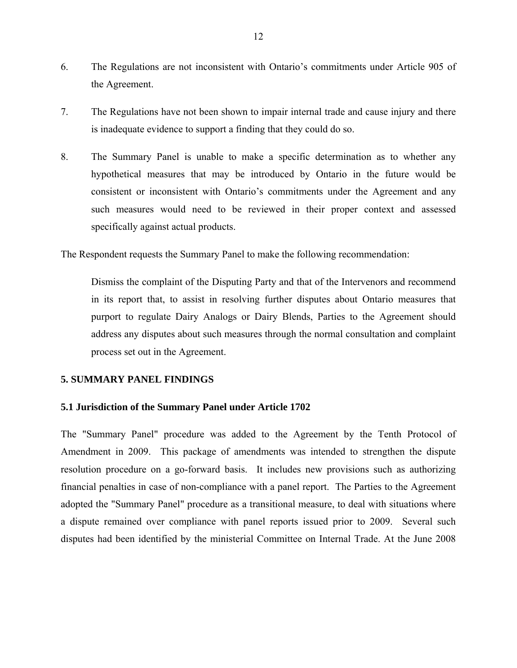- 6. The Regulations are not inconsistent with Ontario's commitments under Article 905 of the Agreement.
- 7. The Regulations have not been shown to impair internal trade and cause injury and there is inadequate evidence to support a finding that they could do so.
- 8. The Summary Panel is unable to make a specific determination as to whether any hypothetical measures that may be introduced by Ontario in the future would be consistent or inconsistent with Ontario's commitments under the Agreement and any such measures would need to be reviewed in their proper context and assessed specifically against actual products.

The Respondent requests the Summary Panel to make the following recommendation:

Dismiss the complaint of the Disputing Party and that of the Intervenors and recommend in its report that, to assist in resolving further disputes about Ontario measures that purport to regulate Dairy Analogs or Dairy Blends, Parties to the Agreement should address any disputes about such measures through the normal consultation and complaint process set out in the Agreement.

### **5. SUMMARY PANEL FINDINGS**

#### **5.1 Jurisdiction of the Summary Panel under Article 1702**

The "Summary Panel" procedure was added to the Agreement by the Tenth Protocol of Amendment in 2009. This package of amendments was intended to strengthen the dispute resolution procedure on a go-forward basis. It includes new provisions such as authorizing financial penalties in case of non-compliance with a panel report. The Parties to the Agreement adopted the "Summary Panel" procedure as a transitional measure, to deal with situations where a dispute remained over compliance with panel reports issued prior to 2009. Several such disputes had been identified by the ministerial Committee on Internal Trade. At the June 2008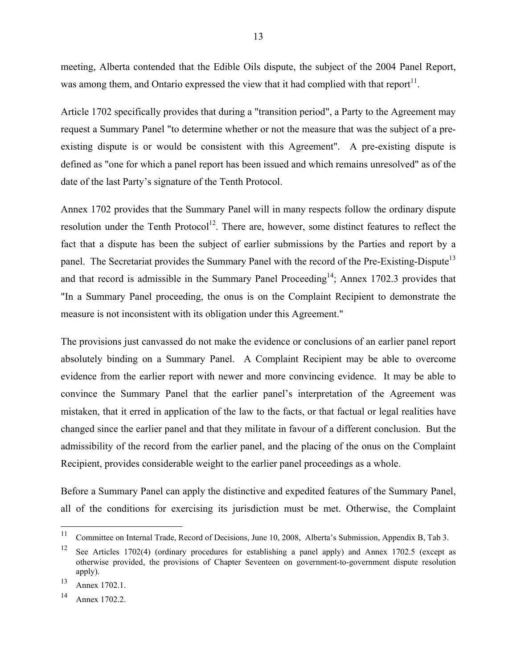meeting, Alberta contended that the Edible Oils dispute, the subject of the 2004 Panel Report, was among them, and Ontario expressed the view that it had complied with that report<sup>11</sup>.

Article 1702 specifically provides that during a "transition period", a Party to the Agreement may request a Summary Panel "to determine whether or not the measure that was the subject of a preexisting dispute is or would be consistent with this Agreement". A pre-existing dispute is defined as "one for which a panel report has been issued and which remains unresolved" as of the date of the last Party's signature of the Tenth Protocol.

Annex 1702 provides that the Summary Panel will in many respects follow the ordinary dispute resolution under the Tenth Protocol<sup>12</sup>. There are, however, some distinct features to reflect the fact that a dispute has been the subject of earlier submissions by the Parties and report by a panel. The Secretariat provides the Summary Panel with the record of the Pre-Existing-Dispute<sup>13</sup> and that record is admissible in the Summary Panel Proceeding<sup>14</sup>; Annex 1702.3 provides that "In a Summary Panel proceeding, the onus is on the Complaint Recipient to demonstrate the measure is not inconsistent with its obligation under this Agreement."

The provisions just canvassed do not make the evidence or conclusions of an earlier panel report absolutely binding on a Summary Panel. A Complaint Recipient may be able to overcome evidence from the earlier report with newer and more convincing evidence. It may be able to convince the Summary Panel that the earlier panel's interpretation of the Agreement was mistaken, that it erred in application of the law to the facts, or that factual or legal realities have changed since the earlier panel and that they militate in favour of a different conclusion. But the admissibility of the record from the earlier panel, and the placing of the onus on the Complaint Recipient, provides considerable weight to the earlier panel proceedings as a whole.

Before a Summary Panel can apply the distinctive and expedited features of the Summary Panel, all of the conditions for exercising its jurisdiction must be met. Otherwise, the Complaint

 $11$ 11 Committee on Internal Trade, Record of Decisions, June 10, 2008, Alberta's Submission, Appendix B, Tab 3.

<sup>12</sup> See Articles 1702(4) (ordinary procedures for establishing a panel apply) and Annex 1702.5 (except as otherwise provided, the provisions of Chapter Seventeen on government-to-government dispute resolution apply).

<sup>13</sup> Annex 1702.1.

<sup>14</sup> Annex 1702.2.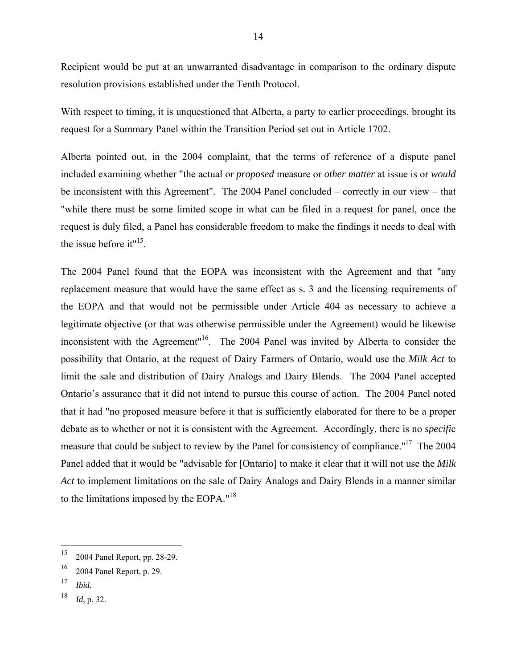Recipient would be put at an unwarranted disadvantage in comparison to the ordinary dispute resolution provisions established under the Tenth Protocol.

With respect to timing, it is unquestioned that Alberta, a party to earlier proceedings, brought its request for a Summary Panel within the Transition Period set out in Article 1702.

Alberta pointed out, in the 2004 complaint, that the terms of reference of a dispute panel included examining whether "the actual or *proposed* measure or *other matter* at issue is or *would*  be inconsistent with this Agreement". The 2004 Panel concluded – correctly in our view – that "while there must be some limited scope in what can be filed in a request for panel, once the request is duly filed, a Panel has considerable freedom to make the findings it needs to deal with the issue before it" $15$ .

The 2004 Panel found that the EOPA was inconsistent with the Agreement and that "any replacement measure that would have the same effect as s. 3 and the licensing requirements of the EOPA and that would not be permissible under Article 404 as necessary to achieve a legitimate objective (or that was otherwise permissible under the Agreement) would be likewise inconsistent with the Agreement"16. The 2004 Panel was invited by Alberta to consider the possibility that Ontario, at the request of Dairy Farmers of Ontario, would use the *Milk Act* to limit the sale and distribution of Dairy Analogs and Dairy Blends. The 2004 Panel accepted Ontario's assurance that it did not intend to pursue this course of action. The 2004 Panel noted that it had "no proposed measure before it that is sufficiently elaborated for there to be a proper debate as to whether or not it is consistent with the Agreement. Accordingly, there is no *specifi*c measure that could be subject to review by the Panel for consistency of compliance."17 The 2004 Panel added that it would be "advisable for [Ontario] to make it clear that it will not use the *Milk Act* to implement limitations on the sale of Dairy Analogs and Dairy Blends in a manner similar to the limitations imposed by the EOPA."18

 $\overline{a}$ 

<sup>15 2004</sup> Panel Report, pp. 28-29.

<sup>16 2004</sup> Panel Report, p. 29.

<sup>17</sup> *Ibid*.

<sup>18</sup> *Id*, p. 32.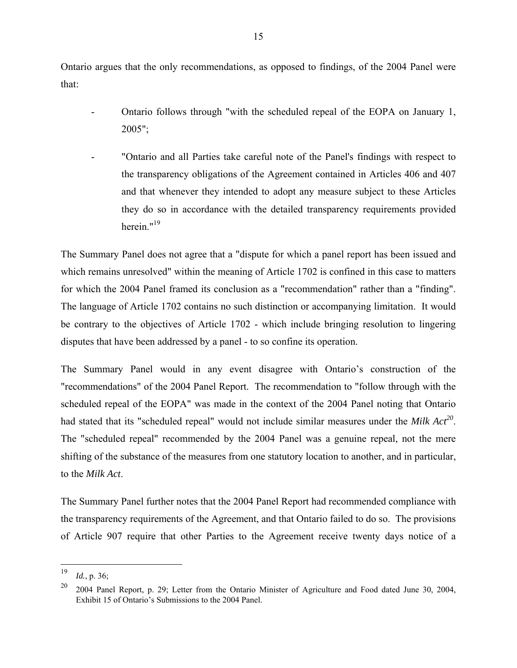Ontario argues that the only recommendations, as opposed to findings, of the 2004 Panel were that:

- Ontario follows through "with the scheduled repeal of the EOPA on January 1, 2005";
- "Ontario and all Parties take careful note of the Panel's findings with respect to the transparency obligations of the Agreement contained in Articles 406 and 407 and that whenever they intended to adopt any measure subject to these Articles they do so in accordance with the detailed transparency requirements provided herein."<sup>19</sup>

The Summary Panel does not agree that a "dispute for which a panel report has been issued and which remains unresolved" within the meaning of Article 1702 is confined in this case to matters for which the 2004 Panel framed its conclusion as a "recommendation" rather than a "finding". The language of Article 1702 contains no such distinction or accompanying limitation. It would be contrary to the objectives of Article 1702 - which include bringing resolution to lingering disputes that have been addressed by a panel - to so confine its operation.

The Summary Panel would in any event disagree with Ontario's construction of the "recommendations" of the 2004 Panel Report. The recommendation to "follow through with the scheduled repeal of the EOPA" was made in the context of the 2004 Panel noting that Ontario had stated that its "scheduled repeal" would not include similar measures under the *Milk Act*<sup>20</sup>. The "scheduled repeal" recommended by the 2004 Panel was a genuine repeal, not the mere shifting of the substance of the measures from one statutory location to another, and in particular, to the *Milk Act*.

The Summary Panel further notes that the 2004 Panel Report had recommended compliance with the transparency requirements of the Agreement, and that Ontario failed to do so. The provisions of Article 907 require that other Parties to the Agreement receive twenty days notice of a

<sup>19</sup> *Id.*, p. 36;

<sup>20 2004</sup> Panel Report, p. 29; Letter from the Ontario Minister of Agriculture and Food dated June 30, 2004, Exhibit 15 of Ontario's Submissions to the 2004 Panel.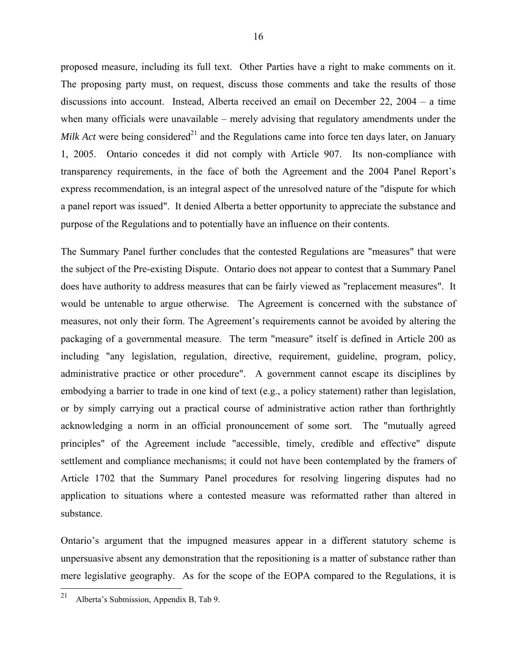proposed measure, including its full text. Other Parties have a right to make comments on it. The proposing party must, on request, discuss those comments and take the results of those discussions into account. Instead, Alberta received an email on December 22, 2004 – a time when many officials were unavailable – merely advising that regulatory amendments under the *Milk Act* were being considered<sup>21</sup> and the Regulations came into force ten days later, on January 1, 2005. Ontario concedes it did not comply with Article 907. Its non-compliance with transparency requirements, in the face of both the Agreement and the 2004 Panel Report's express recommendation, is an integral aspect of the unresolved nature of the "dispute for which a panel report was issued". It denied Alberta a better opportunity to appreciate the substance and purpose of the Regulations and to potentially have an influence on their contents.

The Summary Panel further concludes that the contested Regulations are "measures" that were the subject of the Pre-existing Dispute. Ontario does not appear to contest that a Summary Panel does have authority to address measures that can be fairly viewed as "replacement measures". It would be untenable to argue otherwise. The Agreement is concerned with the substance of measures, not only their form. The Agreement's requirements cannot be avoided by altering the packaging of a governmental measure. The term "measure" itself is defined in Article 200 as including "any legislation, regulation, directive, requirement, guideline, program, policy, administrative practice or other procedure". A government cannot escape its disciplines by embodying a barrier to trade in one kind of text (e.g., a policy statement) rather than legislation, or by simply carrying out a practical course of administrative action rather than forthrightly acknowledging a norm in an official pronouncement of some sort. The "mutually agreed principles" of the Agreement include "accessible, timely, credible and effective" dispute settlement and compliance mechanisms; it could not have been contemplated by the framers of Article 1702 that the Summary Panel procedures for resolving lingering disputes had no application to situations where a contested measure was reformatted rather than altered in substance.

Ontario's argument that the impugned measures appear in a different statutory scheme is unpersuasive absent any demonstration that the repositioning is a matter of substance rather than mere legislative geography. As for the scope of the EOPA compared to the Regulations, it is

<sup>21</sup> 21 Alberta's Submission, Appendix B, Tab 9.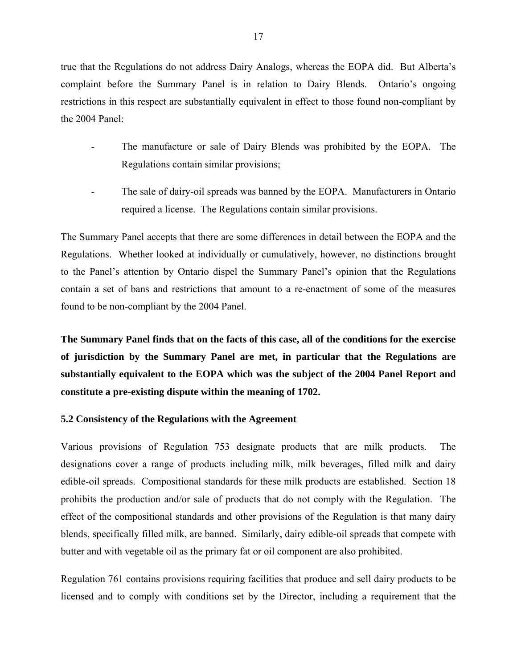true that the Regulations do not address Dairy Analogs, whereas the EOPA did. But Alberta's complaint before the Summary Panel is in relation to Dairy Blends. Ontario's ongoing restrictions in this respect are substantially equivalent in effect to those found non-compliant by the 2004 Panel:

- The manufacture or sale of Dairy Blends was prohibited by the EOPA. The Regulations contain similar provisions;
- The sale of dairy-oil spreads was banned by the EOPA. Manufacturers in Ontario required a license. The Regulations contain similar provisions.

The Summary Panel accepts that there are some differences in detail between the EOPA and the Regulations. Whether looked at individually or cumulatively, however, no distinctions brought to the Panel's attention by Ontario dispel the Summary Panel's opinion that the Regulations contain a set of bans and restrictions that amount to a re-enactment of some of the measures found to be non-compliant by the 2004 Panel.

**The Summary Panel finds that on the facts of this case, all of the conditions for the exercise of jurisdiction by the Summary Panel are met, in particular that the Regulations are substantially equivalent to the EOPA which was the subject of the 2004 Panel Report and constitute a pre-existing dispute within the meaning of 1702.** 

#### **5.2 Consistency of the Regulations with the Agreement**

Various provisions of Regulation 753 designate products that are milk products. The designations cover a range of products including milk, milk beverages, filled milk and dairy edible-oil spreads. Compositional standards for these milk products are established. Section 18 prohibits the production and/or sale of products that do not comply with the Regulation. The effect of the compositional standards and other provisions of the Regulation is that many dairy blends, specifically filled milk, are banned. Similarly, dairy edible-oil spreads that compete with butter and with vegetable oil as the primary fat or oil component are also prohibited.

Regulation 761 contains provisions requiring facilities that produce and sell dairy products to be licensed and to comply with conditions set by the Director, including a requirement that the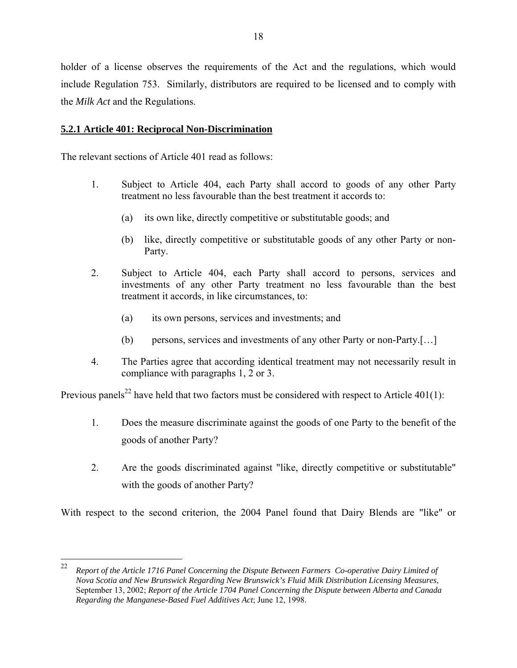holder of a license observes the requirements of the Act and the regulations, which would include Regulation 753. Similarly, distributors are required to be licensed and to comply with the *Milk Act* and the Regulations.

# **5.2.1 Article 401: Reciprocal Non-Discrimination**

The relevant sections of Article 401 read as follows:

- 1. Subject to Article 404, each Party shall accord to goods of any other Party treatment no less favourable than the best treatment it accords to:
	- (a) its own like, directly competitive or substitutable goods; and
	- (b) like, directly competitive or substitutable goods of any other Party or non-Party.
- 2. Subject to Article 404, each Party shall accord to persons, services and investments of any other Party treatment no less favourable than the best treatment it accords, in like circumstances, to:
	- (a) its own persons, services and investments; and
	- (b) persons, services and investments of any other Party or non-Party.[…]
- 4. The Parties agree that according identical treatment may not necessarily result in compliance with paragraphs 1, 2 or 3.

Previous panels<sup>22</sup> have held that two factors must be considered with respect to Article 401(1):

- 1. Does the measure discriminate against the goods of one Party to the benefit of the goods of another Party?
- 2. Are the goods discriminated against "like, directly competitive or substitutable" with the goods of another Party?

With respect to the second criterion, the 2004 Panel found that Dairy Blends are "like" or

<sup>22</sup> 22 *Report of the Article 1716 Panel Concerning the Dispute Between Farmers Co-operative Dairy Limited of Nova Scotia and New Brunswick Regarding New Brunswick's Fluid Milk Distribution Licensing Measures*, September 13, 2002; *Report of the Article 1704 Panel Concerning the Dispute between Alberta and Canada Regarding the Manganese-Based Fuel Additives Act*; June 12, 1998.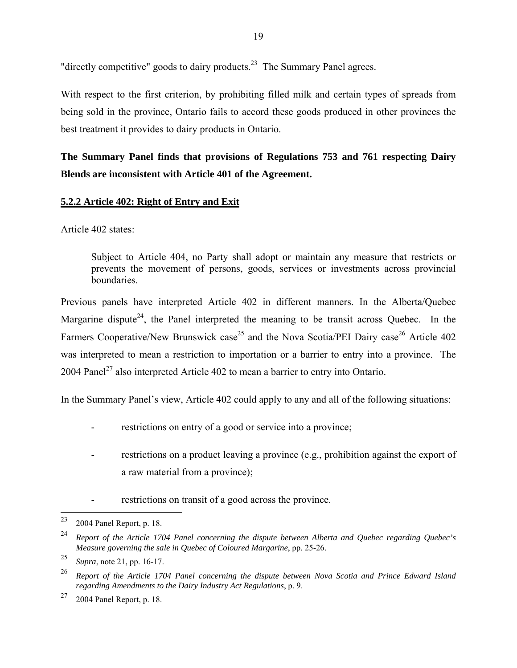"directly competitive" goods to dairy products.<sup>23</sup> The Summary Panel agrees.

With respect to the first criterion, by prohibiting filled milk and certain types of spreads from being sold in the province, Ontario fails to accord these goods produced in other provinces the best treatment it provides to dairy products in Ontario.

# **The Summary Panel finds that provisions of Regulations 753 and 761 respecting Dairy Blends are inconsistent with Article 401 of the Agreement.**

# **5.2.2 Article 402: Right of Entry and Exit**

Article 402 states:

Subject to Article 404, no Party shall adopt or maintain any measure that restricts or prevents the movement of persons, goods, services or investments across provincial boundaries.

Previous panels have interpreted Article 402 in different manners. In the Alberta/Quebec Margarine dispute<sup>24</sup>, the Panel interpreted the meaning to be transit across Quebec. In the Farmers Cooperative/New Brunswick case<sup>25</sup> and the Nova Scotia/PEI Dairy case<sup>26</sup> Article 402 was interpreted to mean a restriction to importation or a barrier to entry into a province. The 2004 Panel<sup>27</sup> also interpreted Article 402 to mean a barrier to entry into Ontario.

In the Summary Panel's view, Article 402 could apply to any and all of the following situations:

- restrictions on entry of a good or service into a province;
- restrictions on a product leaving a province (e.g., prohibition against the export of a raw material from a province);
- restrictions on transit of a good across the province.

<sup>23</sup> 2004 Panel Report, p. 18.

<sup>24</sup> *Report of the Article 1704 Panel concerning the dispute between Alberta and Quebec regarding Quebec's Measure governing the sale in Quebec of Coloured Margarine*, pp. 25-26.

<sup>25</sup> *Supra*, note 21, pp. 16-17.

<sup>26</sup> *Report of the Article 1704 Panel concerning the dispute between Nova Scotia and Prince Edward Island regarding Amendments to the Dairy Industry Act Regulations*, p. 9.

 $27$  2004 Panel Report, p. 18.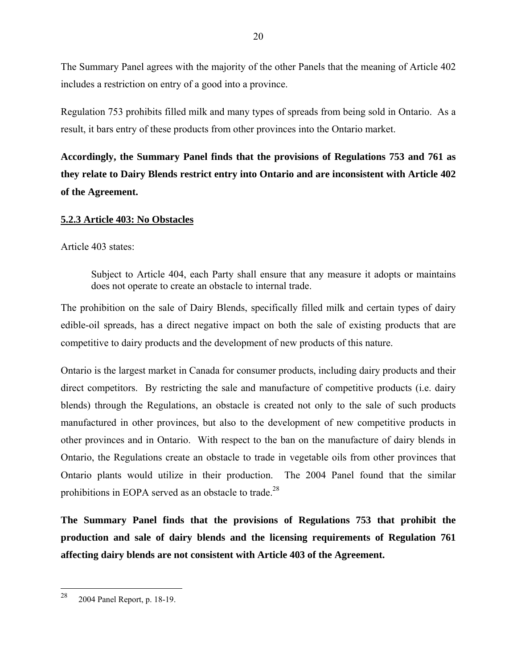The Summary Panel agrees with the majority of the other Panels that the meaning of Article 402 includes a restriction on entry of a good into a province.

Regulation 753 prohibits filled milk and many types of spreads from being sold in Ontario. As a result, it bars entry of these products from other provinces into the Ontario market.

**Accordingly, the Summary Panel finds that the provisions of Regulations 753 and 761 as they relate to Dairy Blends restrict entry into Ontario and are inconsistent with Article 402 of the Agreement.**

# **5.2.3 Article 403: No Obstacles**

Article 403 states:

Subject to Article 404, each Party shall ensure that any measure it adopts or maintains does not operate to create an obstacle to internal trade.

The prohibition on the sale of Dairy Blends, specifically filled milk and certain types of dairy edible-oil spreads, has a direct negative impact on both the sale of existing products that are competitive to dairy products and the development of new products of this nature.

Ontario is the largest market in Canada for consumer products, including dairy products and their direct competitors. By restricting the sale and manufacture of competitive products (i.e. dairy blends) through the Regulations, an obstacle is created not only to the sale of such products manufactured in other provinces, but also to the development of new competitive products in other provinces and in Ontario. With respect to the ban on the manufacture of dairy blends in Ontario, the Regulations create an obstacle to trade in vegetable oils from other provinces that Ontario plants would utilize in their production. The 2004 Panel found that the similar prohibitions in EOPA served as an obstacle to trade.<sup>28</sup>

**The Summary Panel finds that the provisions of Regulations 753 that prohibit the production and sale of dairy blends and the licensing requirements of Regulation 761 affecting dairy blends are not consistent with Article 403 of the Agreement.**

<sup>28</sup> 2004 Panel Report, p. 18-19.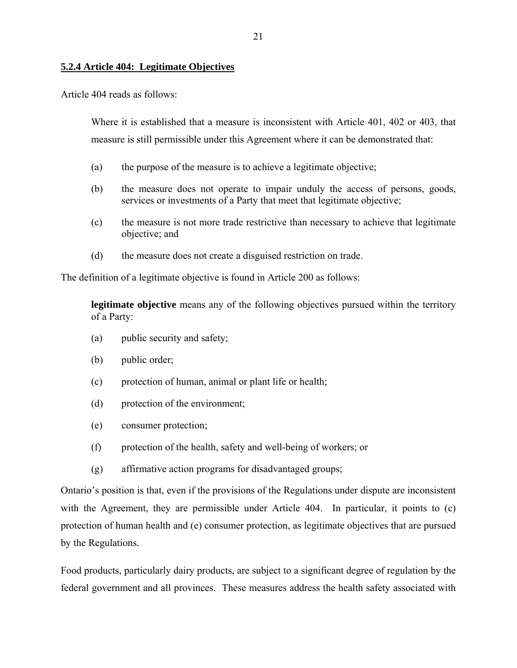## **5.2.4 Article 404: Legitimate Objectives**

Article 404 reads as follows:

Where it is established that a measure is inconsistent with Article 401, 402 or 403, that measure is still permissible under this Agreement where it can be demonstrated that:

- (a) the purpose of the measure is to achieve a legitimate objective;
- (b) the measure does not operate to impair unduly the access of persons, goods, services or investments of a Party that meet that legitimate objective;
- (c) the measure is not more trade restrictive than necessary to achieve that legitimate objective; and
- (d) the measure does not create a disguised restriction on trade.

The definition of a legitimate objective is found in Article 200 as follows:

**legitimate objective** means any of the following objectives pursued within the territory of a Party:

- (a) public security and safety;
- (b) public order;
- (c) protection of human, animal or plant life or health;
- (d) protection of the environment;
- (e) consumer protection;
- (f) protection of the health, safety and well-being of workers; or
- (g) affirmative action programs for disadvantaged groups;

Ontario's position is that, even if the provisions of the Regulations under dispute are inconsistent with the Agreement, they are permissible under Article 404. In particular, it points to (c) protection of human health and (e) consumer protection, as legitimate objectives that are pursued by the Regulations.

Food products, particularly dairy products, are subject to a significant degree of regulation by the federal government and all provinces. These measures address the health safety associated with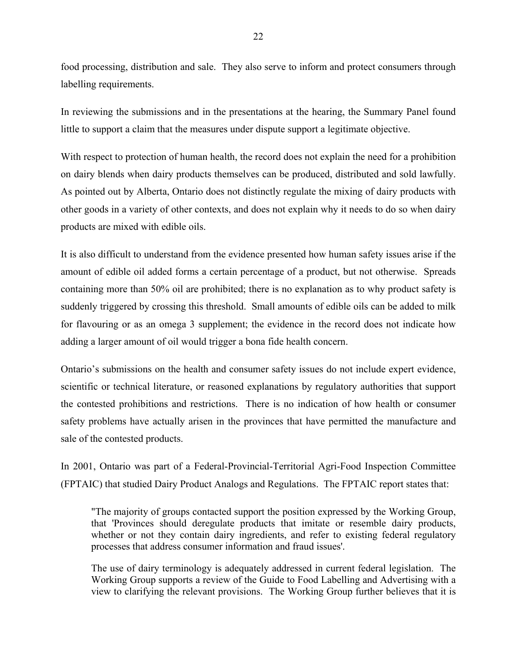food processing, distribution and sale. They also serve to inform and protect consumers through labelling requirements.

In reviewing the submissions and in the presentations at the hearing, the Summary Panel found little to support a claim that the measures under dispute support a legitimate objective.

With respect to protection of human health, the record does not explain the need for a prohibition on dairy blends when dairy products themselves can be produced, distributed and sold lawfully. As pointed out by Alberta, Ontario does not distinctly regulate the mixing of dairy products with other goods in a variety of other contexts, and does not explain why it needs to do so when dairy products are mixed with edible oils.

It is also difficult to understand from the evidence presented how human safety issues arise if the amount of edible oil added forms a certain percentage of a product, but not otherwise. Spreads containing more than 50% oil are prohibited; there is no explanation as to why product safety is suddenly triggered by crossing this threshold. Small amounts of edible oils can be added to milk for flavouring or as an omega 3 supplement; the evidence in the record does not indicate how adding a larger amount of oil would trigger a bona fide health concern.

Ontario's submissions on the health and consumer safety issues do not include expert evidence, scientific or technical literature, or reasoned explanations by regulatory authorities that support the contested prohibitions and restrictions. There is no indication of how health or consumer safety problems have actually arisen in the provinces that have permitted the manufacture and sale of the contested products.

In 2001, Ontario was part of a Federal-Provincial-Territorial Agri-Food Inspection Committee (FPTAIC) that studied Dairy Product Analogs and Regulations. The FPTAIC report states that:

"The majority of groups contacted support the position expressed by the Working Group, that 'Provinces should deregulate products that imitate or resemble dairy products, whether or not they contain dairy ingredients, and refer to existing federal regulatory processes that address consumer information and fraud issues'.

The use of dairy terminology is adequately addressed in current federal legislation. The Working Group supports a review of the Guide to Food Labelling and Advertising with a view to clarifying the relevant provisions. The Working Group further believes that it is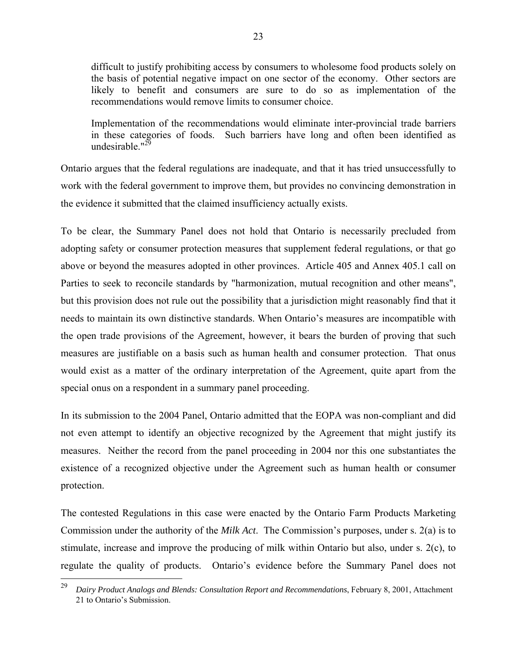difficult to justify prohibiting access by consumers to wholesome food products solely on the basis of potential negative impact on one sector of the economy. Other sectors are likely to benefit and consumers are sure to do so as implementation of the recommendations would remove limits to consumer choice.

Implementation of the recommendations would eliminate inter-provincial trade barriers in these categories of foods. Such barriers have long and often been identified as undesirable." $^{29}$ 

Ontario argues that the federal regulations are inadequate, and that it has tried unsuccessfully to work with the federal government to improve them, but provides no convincing demonstration in the evidence it submitted that the claimed insufficiency actually exists.

To be clear, the Summary Panel does not hold that Ontario is necessarily precluded from adopting safety or consumer protection measures that supplement federal regulations, or that go above or beyond the measures adopted in other provinces. Article 405 and Annex 405.1 call on Parties to seek to reconcile standards by "harmonization, mutual recognition and other means", but this provision does not rule out the possibility that a jurisdiction might reasonably find that it needs to maintain its own distinctive standards. When Ontario's measures are incompatible with the open trade provisions of the Agreement, however, it bears the burden of proving that such measures are justifiable on a basis such as human health and consumer protection. That onus would exist as a matter of the ordinary interpretation of the Agreement, quite apart from the special onus on a respondent in a summary panel proceeding.

In its submission to the 2004 Panel, Ontario admitted that the EOPA was non-compliant and did not even attempt to identify an objective recognized by the Agreement that might justify its measures. Neither the record from the panel proceeding in 2004 nor this one substantiates the existence of a recognized objective under the Agreement such as human health or consumer protection.

The contested Regulations in this case were enacted by the Ontario Farm Products Marketing Commission under the authority of the *Milk Act*. The Commission's purposes, under s. 2(a) is to stimulate, increase and improve the producing of milk within Ontario but also, under s. 2(c), to regulate the quality of products. Ontario's evidence before the Summary Panel does not

<sup>29</sup> 29 *Dairy Product Analogs and Blends: Consultation Report and Recommendations*, February 8, 2001, Attachment 21 to Ontario's Submission.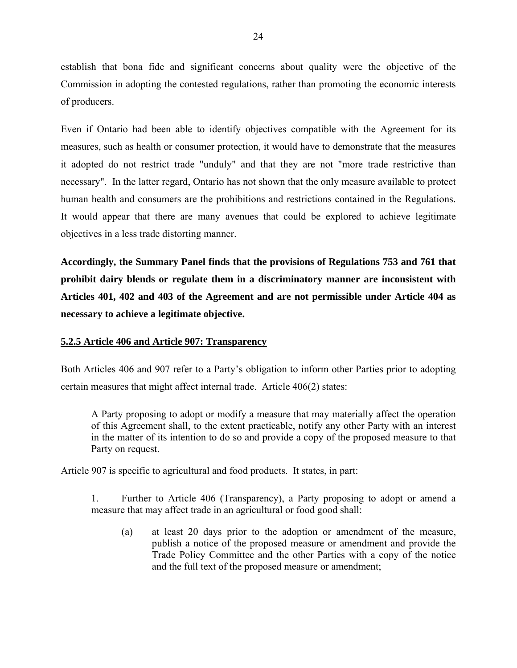establish that bona fide and significant concerns about quality were the objective of the Commission in adopting the contested regulations, rather than promoting the economic interests of producers.

Even if Ontario had been able to identify objectives compatible with the Agreement for its measures, such as health or consumer protection, it would have to demonstrate that the measures it adopted do not restrict trade "unduly" and that they are not "more trade restrictive than necessary". In the latter regard, Ontario has not shown that the only measure available to protect human health and consumers are the prohibitions and restrictions contained in the Regulations. It would appear that there are many avenues that could be explored to achieve legitimate objectives in a less trade distorting manner.

**Accordingly, the Summary Panel finds that the provisions of Regulations 753 and 761 that prohibit dairy blends or regulate them in a discriminatory manner are inconsistent with Articles 401, 402 and 403 of the Agreement and are not permissible under Article 404 as necessary to achieve a legitimate objective.**

#### **5.2.5 Article 406 and Article 907: Transparency**

Both Articles 406 and 907 refer to a Party's obligation to inform other Parties prior to adopting certain measures that might affect internal trade. Article 406(2) states:

A Party proposing to adopt or modify a measure that may materially affect the operation of this Agreement shall, to the extent practicable, notify any other Party with an interest in the matter of its intention to do so and provide a copy of the proposed measure to that Party on request.

Article 907 is specific to agricultural and food products. It states, in part:

1. Further to Article 406 (Transparency), a Party proposing to adopt or amend a measure that may affect trade in an agricultural or food good shall:

(a) at least 20 days prior to the adoption or amendment of the measure, publish a notice of the proposed measure or amendment and provide the Trade Policy Committee and the other Parties with a copy of the notice and the full text of the proposed measure or amendment;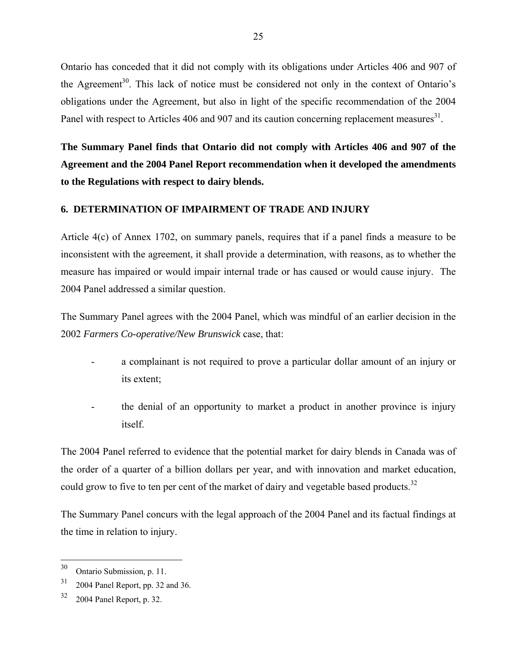Ontario has conceded that it did not comply with its obligations under Articles 406 and 907 of the Agreement<sup>30</sup>. This lack of notice must be considered not only in the context of Ontario's obligations under the Agreement, but also in light of the specific recommendation of the 2004 Panel with respect to Articles 406 and 907 and its caution concerning replacement measures<sup>31</sup>.

**The Summary Panel finds that Ontario did not comply with Articles 406 and 907 of the Agreement and the 2004 Panel Report recommendation when it developed the amendments to the Regulations with respect to dairy blends.** 

### **6. DETERMINATION OF IMPAIRMENT OF TRADE AND INJURY**

Article 4(c) of Annex 1702, on summary panels, requires that if a panel finds a measure to be inconsistent with the agreement, it shall provide a determination, with reasons, as to whether the measure has impaired or would impair internal trade or has caused or would cause injury. The 2004 Panel addressed a similar question.

The Summary Panel agrees with the 2004 Panel, which was mindful of an earlier decision in the 2002 *Farmers Co-operative/New Brunswick* case, that:

- a complainant is not required to prove a particular dollar amount of an injury or its extent;
- the denial of an opportunity to market a product in another province is injury itself.

The 2004 Panel referred to evidence that the potential market for dairy blends in Canada was of the order of a quarter of a billion dollars per year, and with innovation and market education, could grow to five to ten per cent of the market of dairy and vegetable based products.<sup>32</sup>

The Summary Panel concurs with the legal approach of the 2004 Panel and its factual findings at the time in relation to injury.

 $30\,$ Ontario Submission, p. 11.

 $31$  2004 Panel Report, pp. 32 and 36.

<sup>32 2004</sup> Panel Report, p. 32.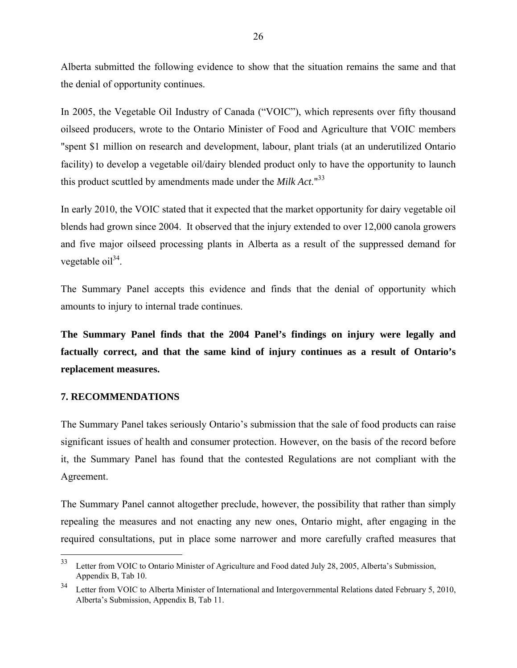Alberta submitted the following evidence to show that the situation remains the same and that the denial of opportunity continues.

In 2005, the Vegetable Oil Industry of Canada ("VOIC"), which represents over fifty thousand oilseed producers, wrote to the Ontario Minister of Food and Agriculture that VOIC members "spent \$1 million on research and development, labour, plant trials (at an underutilized Ontario facility) to develop a vegetable oil/dairy blended product only to have the opportunity to launch this product scuttled by amendments made under the *Milk Act*."33

In early 2010, the VOIC stated that it expected that the market opportunity for dairy vegetable oil blends had grown since 2004. It observed that the injury extended to over 12,000 canola growers and five major oilseed processing plants in Alberta as a result of the suppressed demand for vegetable  $\text{oil}^{34}$ .

The Summary Panel accepts this evidence and finds that the denial of opportunity which amounts to injury to internal trade continues.

**The Summary Panel finds that the 2004 Panel's findings on injury were legally and factually correct, and that the same kind of injury continues as a result of Ontario's replacement measures.** 

### **7. RECOMMENDATIONS**

The Summary Panel takes seriously Ontario's submission that the sale of food products can raise significant issues of health and consumer protection. However, on the basis of the record before it, the Summary Panel has found that the contested Regulations are not compliant with the Agreement.

The Summary Panel cannot altogether preclude, however, the possibility that rather than simply repealing the measures and not enacting any new ones, Ontario might, after engaging in the required consultations, put in place some narrower and more carefully crafted measures that

<sup>33</sup> Letter from VOIC to Ontario Minister of Agriculture and Food dated July 28, 2005, Alberta's Submission, Appendix B, Tab 10.

<sup>&</sup>lt;sup>34</sup> Letter from VOIC to Alberta Minister of International and Intergovernmental Relations dated February 5, 2010, Alberta's Submission, Appendix B, Tab 11.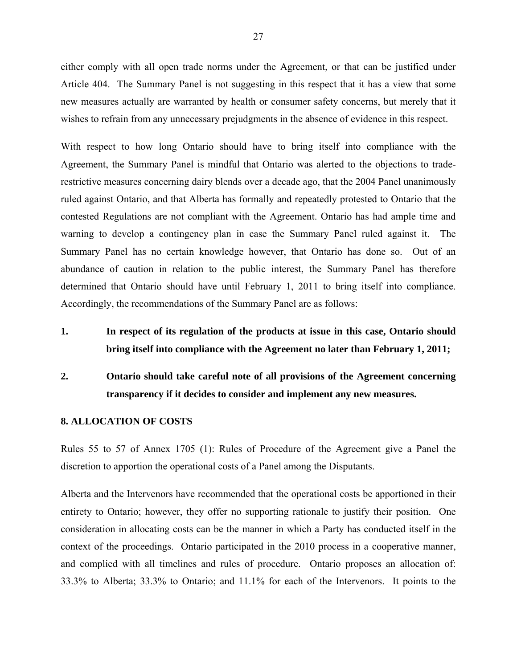either comply with all open trade norms under the Agreement, or that can be justified under Article 404. The Summary Panel is not suggesting in this respect that it has a view that some new measures actually are warranted by health or consumer safety concerns, but merely that it wishes to refrain from any unnecessary prejudgments in the absence of evidence in this respect.

With respect to how long Ontario should have to bring itself into compliance with the Agreement, the Summary Panel is mindful that Ontario was alerted to the objections to traderestrictive measures concerning dairy blends over a decade ago, that the 2004 Panel unanimously ruled against Ontario, and that Alberta has formally and repeatedly protested to Ontario that the contested Regulations are not compliant with the Agreement. Ontario has had ample time and warning to develop a contingency plan in case the Summary Panel ruled against it. The Summary Panel has no certain knowledge however, that Ontario has done so. Out of an abundance of caution in relation to the public interest, the Summary Panel has therefore determined that Ontario should have until February 1, 2011 to bring itself into compliance. Accordingly, the recommendations of the Summary Panel are as follows:

- **1. In respect of its regulation of the products at issue in this case, Ontario should bring itself into compliance with the Agreement no later than February 1, 2011;**
- **2. Ontario should take careful note of all provisions of the Agreement concerning transparency if it decides to consider and implement any new measures.**

#### **8. ALLOCATION OF COSTS**

Rules 55 to 57 of Annex 1705 (1): Rules of Procedure of the Agreement give a Panel the discretion to apportion the operational costs of a Panel among the Disputants.

Alberta and the Intervenors have recommended that the operational costs be apportioned in their entirety to Ontario; however, they offer no supporting rationale to justify their position. One consideration in allocating costs can be the manner in which a Party has conducted itself in the context of the proceedings. Ontario participated in the 2010 process in a cooperative manner, and complied with all timelines and rules of procedure. Ontario proposes an allocation of: 33.3% to Alberta; 33.3% to Ontario; and 11.1% for each of the Intervenors. It points to the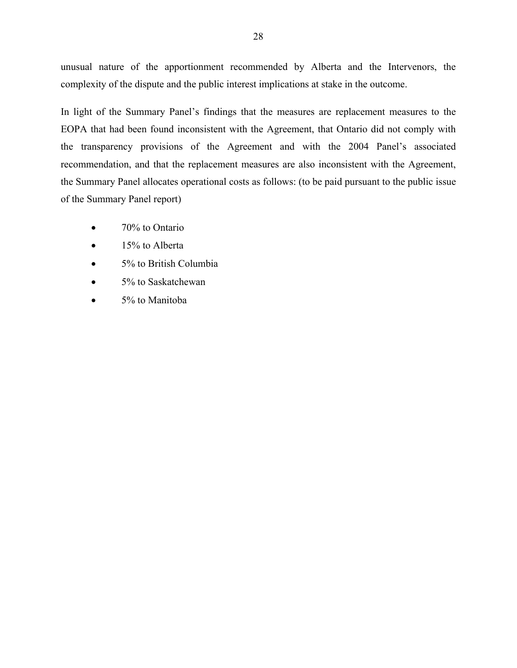unusual nature of the apportionment recommended by Alberta and the Intervenors, the complexity of the dispute and the public interest implications at stake in the outcome.

In light of the Summary Panel's findings that the measures are replacement measures to the EOPA that had been found inconsistent with the Agreement, that Ontario did not comply with the transparency provisions of the Agreement and with the 2004 Panel's associated recommendation, and that the replacement measures are also inconsistent with the Agreement, the Summary Panel allocates operational costs as follows: (to be paid pursuant to the public issue of the Summary Panel report)

- 70% to Ontario
- 15% to Alberta
- 5% to British Columbia
- 5% to Saskatchewan
- 5% to Manitoba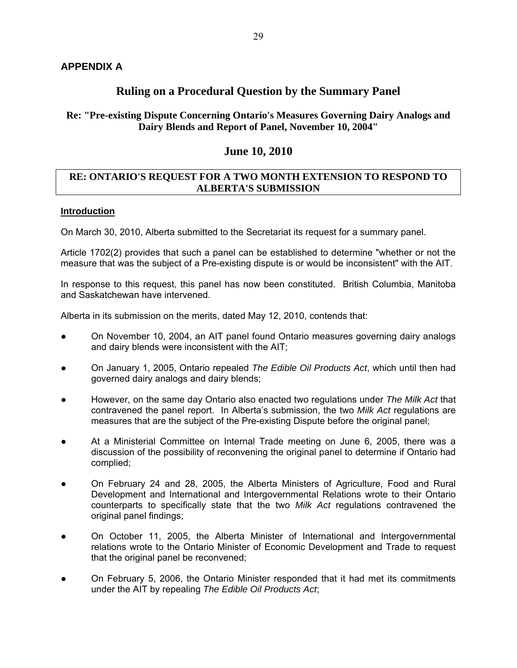# **Ruling on a Procedural Question by the Summary Panel**

# **Re: "Pre-existing Dispute Concerning Ontario's Measures Governing Dairy Analogs and Dairy Blends and Report of Panel, November 10, 2004"**

# **June 10, 2010**

# **RE: ONTARIO'S REQUEST FOR A TWO MONTH EXTENSION TO RESPOND TO ALBERTA'S SUBMISSION**

# **Introduction**

On March 30, 2010, Alberta submitted to the Secretariat its request for a summary panel.

Article 1702(2) provides that such a panel can be established to determine "whether or not the measure that was the subject of a Pre-existing dispute is or would be inconsistent" with the AIT.

In response to this request, this panel has now been constituted. British Columbia, Manitoba and Saskatchewan have intervened.

Alberta in its submission on the merits, dated May 12, 2010, contends that:

- On November 10, 2004, an AIT panel found Ontario measures governing dairy analogs and dairy blends were inconsistent with the AIT;
- On January 1, 2005, Ontario repealed *The Edible Oil Products Act*, which until then had governed dairy analogs and dairy blends;
- However, on the same day Ontario also enacted two regulations under *The Milk Act* that contravened the panel report. In Alberta's submission, the two *Milk Act* regulations are measures that are the subject of the Pre-existing Dispute before the original panel;
- At a Ministerial Committee on Internal Trade meeting on June 6, 2005, there was a discussion of the possibility of reconvening the original panel to determine if Ontario had complied;
- On February 24 and 28, 2005, the Alberta Ministers of Agriculture, Food and Rural Development and International and Intergovernmental Relations wrote to their Ontario counterparts to specifically state that the two *Milk Act* regulations contravened the original panel findings;
- On October 11, 2005, the Alberta Minister of International and Intergovernmental relations wrote to the Ontario Minister of Economic Development and Trade to request that the original panel be reconvened;
- On February 5, 2006, the Ontario Minister responded that it had met its commitments under the AIT by repealing *The Edible Oil Products Act*;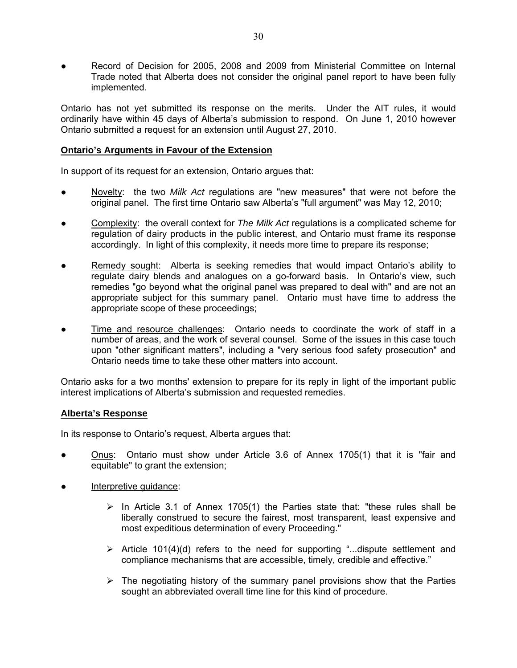Record of Decision for 2005, 2008 and 2009 from Ministerial Committee on Internal Trade noted that Alberta does not consider the original panel report to have been fully implemented.

Ontario has not yet submitted its response on the merits. Under the AIT rules, it would ordinarily have within 45 days of Alberta's submission to respond. On June 1, 2010 however Ontario submitted a request for an extension until August 27, 2010.

### **Ontario's Arguments in Favour of the Extension**

In support of its request for an extension, Ontario argues that:

- Novelty: the two *Milk Act* regulations are "new measures" that were not before the original panel. The first time Ontario saw Alberta's "full argument" was May 12, 2010;
- Complexity: the overall context for *The Milk Act* regulations is a complicated scheme for regulation of dairy products in the public interest, and Ontario must frame its response accordingly. In light of this complexity, it needs more time to prepare its response;
- Remedy sought: Alberta is seeking remedies that would impact Ontario's ability to regulate dairy blends and analogues on a go-forward basis. In Ontario's view, such remedies "go beyond what the original panel was prepared to deal with" and are not an appropriate subject for this summary panel. Ontario must have time to address the appropriate scope of these proceedings;
- Time and resource challenges: Ontario needs to coordinate the work of staff in a number of areas, and the work of several counsel. Some of the issues in this case touch upon "other significant matters", including a "very serious food safety prosecution" and Ontario needs time to take these other matters into account.

Ontario asks for a two months' extension to prepare for its reply in light of the important public interest implications of Alberta's submission and requested remedies.

### **Alberta's Response**

In its response to Ontario's request, Alberta argues that:

- Onus: Ontario must show under Article 3.6 of Annex 1705(1) that it is "fair and equitable" to grant the extension;
- Interpretive guidance:
	- $\triangleright$  In Article 3.1 of Annex 1705(1) the Parties state that: "these rules shall be liberally construed to secure the fairest, most transparent, least expensive and most expeditious determination of every Proceeding."
	- $\triangleright$  Article 101(4)(d) refers to the need for supporting "...dispute settlement and compliance mechanisms that are accessible, timely, credible and effective."
	- $\triangleright$  The negotiating history of the summary panel provisions show that the Parties sought an abbreviated overall time line for this kind of procedure.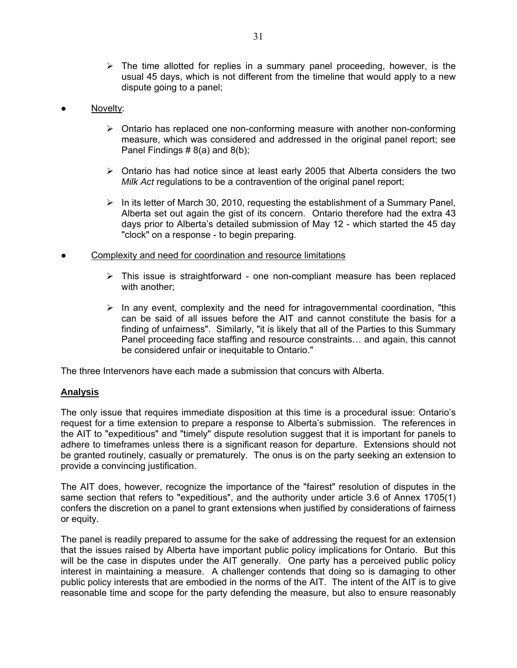- $\triangleright$  The time allotted for replies in a summary panel proceeding, however, is the usual 45 days, which is not different from the timeline that would apply to a new dispute going to a panel;
- Novelty:
	- $\triangleright$  Ontario has replaced one non-conforming measure with another non-conforming measure, which was considered and addressed in the original panel report; see Panel Findings  $# 8(a)$  and  $8(b)$ ;
	- $\triangleright$  Ontario has had notice since at least early 2005 that Alberta considers the two *Milk Act* regulations to be a contravention of the original panel report;
	- $\triangleright$  In its letter of March 30, 2010, requesting the establishment of a Summary Panel, Alberta set out again the gist of its concern. Ontario therefore had the extra 43 days prior to Alberta's detailed submission of May 12 - which started the 45 day "clock" on a response - to begin preparing.
- Complexity and need for coordination and resource limitations
	- $\triangleright$  This issue is straightforward one non-compliant measure has been replaced with another;
	- $\triangleright$  In any event, complexity and the need for intragovernmental coordination, "this can be said of all issues before the AIT and cannot constitute the basis for a finding of unfairness". Similarly, "it is likely that all of the Parties to this Summary Panel proceeding face staffing and resource constraints… and again, this cannot be considered unfair or inequitable to Ontario."

The three Intervenors have each made a submission that concurs with Alberta.

#### **Analysis**

The only issue that requires immediate disposition at this time is a procedural issue: Ontario's request for a time extension to prepare a response to Alberta's submission. The references in the AIT to "expeditious" and "timely" dispute resolution suggest that it is important for panels to adhere to timeframes unless there is a significant reason for departure. Extensions should not be granted routinely, casually or prematurely. The onus is on the party seeking an extension to provide a convincing justification.

The AIT does, however, recognize the importance of the "fairest" resolution of disputes in the same section that refers to "expeditious", and the authority under article 3.6 of Annex 1705(1) confers the discretion on a panel to grant extensions when justified by considerations of fairness or equity.

The panel is readily prepared to assume for the sake of addressing the request for an extension that the issues raised by Alberta have important public policy implications for Ontario. But this will be the case in disputes under the AIT generally. One party has a perceived public policy interest in maintaining a measure. A challenger contends that doing so is damaging to other public policy interests that are embodied in the norms of the AIT. The intent of the AIT is to give reasonable time and scope for the party defending the measure, but also to ensure reasonably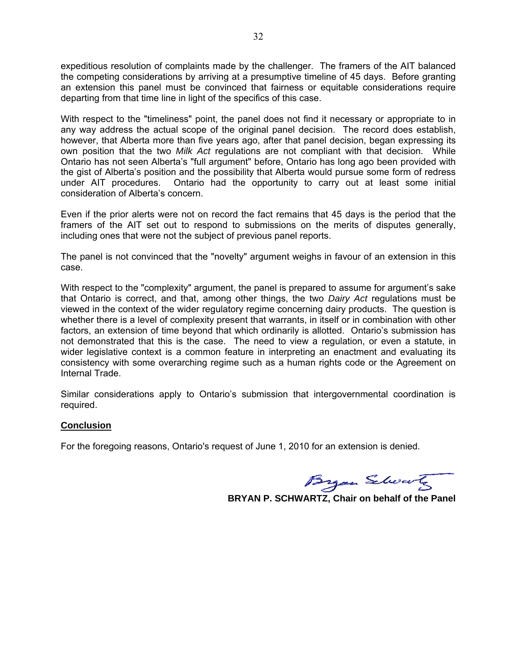expeditious resolution of complaints made by the challenger. The framers of the AIT balanced the competing considerations by arriving at a presumptive timeline of 45 days. Before granting an extension this panel must be convinced that fairness or equitable considerations require departing from that time line in light of the specifics of this case.

With respect to the "timeliness" point, the panel does not find it necessary or appropriate to in any way address the actual scope of the original panel decision. The record does establish, however, that Alberta more than five years ago, after that panel decision, began expressing its own position that the two *Milk Act* regulations are not compliant with that decision. While Ontario has not seen Alberta's "full argument" before, Ontario has long ago been provided with the gist of Alberta's position and the possibility that Alberta would pursue some form of redress under AIT procedures. Ontario had the opportunity to carry out at least some initial consideration of Alberta's concern.

Even if the prior alerts were not on record the fact remains that 45 days is the period that the framers of the AIT set out to respond to submissions on the merits of disputes generally, including ones that were not the subject of previous panel reports.

The panel is not convinced that the "novelty" argument weighs in favour of an extension in this case.

With respect to the "complexity" argument, the panel is prepared to assume for argument's sake that Ontario is correct, and that, among other things, the two *Dairy Act* regulations must be viewed in the context of the wider regulatory regime concerning dairy products. The question is whether there is a level of complexity present that warrants, in itself or in combination with other factors, an extension of time beyond that which ordinarily is allotted. Ontario's submission has not demonstrated that this is the case. The need to view a regulation, or even a statute, in wider legislative context is a common feature in interpreting an enactment and evaluating its consistency with some overarching regime such as a human rights code or the Agreement on Internal Trade.

Similar considerations apply to Ontario's submission that intergovernmental coordination is required.

#### **Conclusion**

For the foregoing reasons, Ontario's request of June 1, 2010 for an extension is denied.

Byan Schools

 **BRYAN P. SCHWARTZ, Chair on behalf of the Panel**